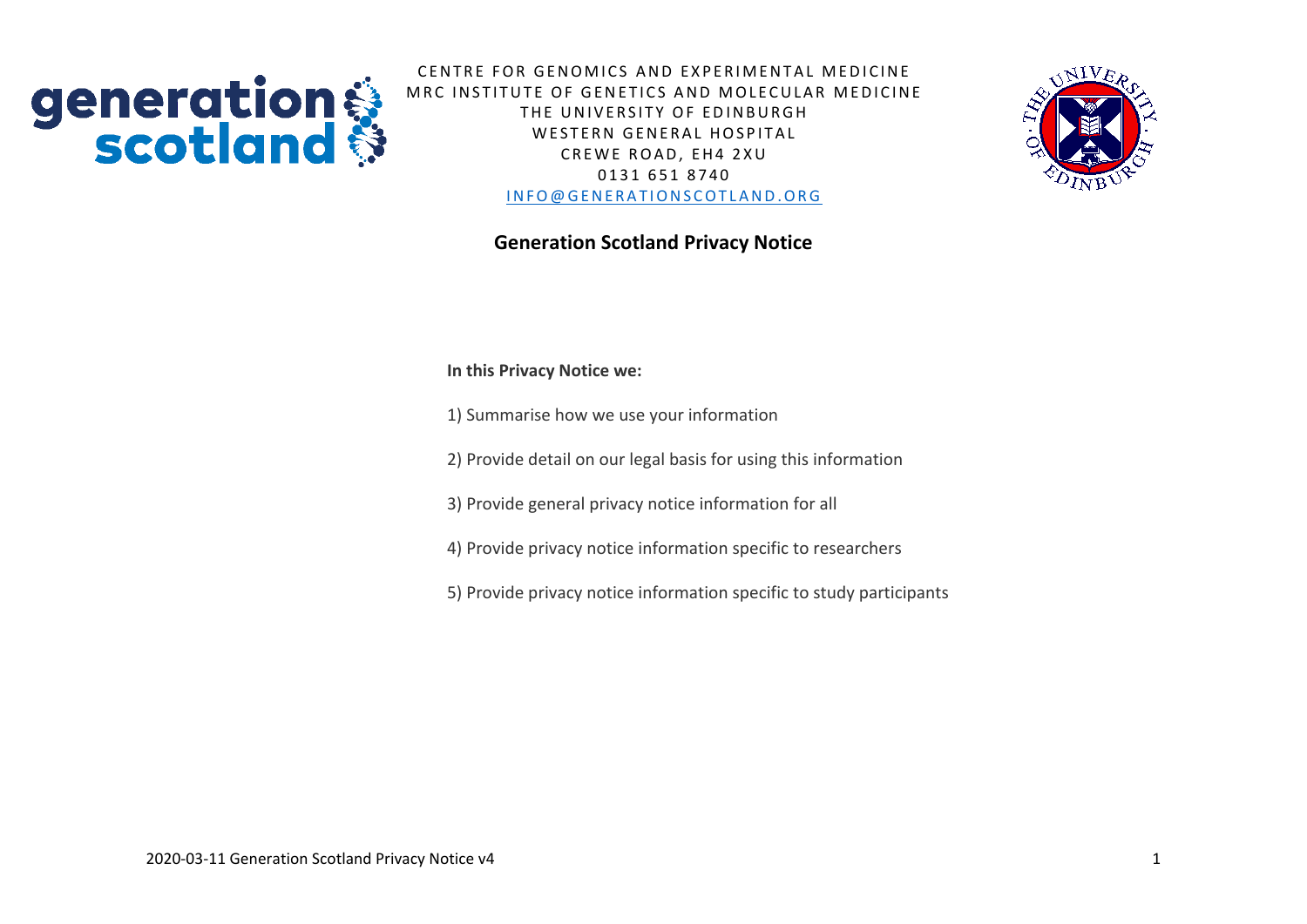

CENTRE FOR GENOMICS AND EXPERIMENTAL MEDICINE MRC INSTITUTE OF GENETICS AND MOLECULAR MEDICINE THE UNIVERSITY OF EDINBURGH WESTERN GENERAL HOSPITAL CREWE ROAD, EH4 2XU 0 1 3 1 6 5 1 8 7 4 0 INFO@GENERATIONSCOTLAND.ORG

# **Generation Scotland Privacy Notice**

**In this Privacy Notice we:**

1) Summarise how we use your information

2) Provide detail on our legal basis for using this information

3) Provide general privacy notice information for all

4) Provide privacy notice information specific to researchers

5) Provide privacy notice information specific to study participants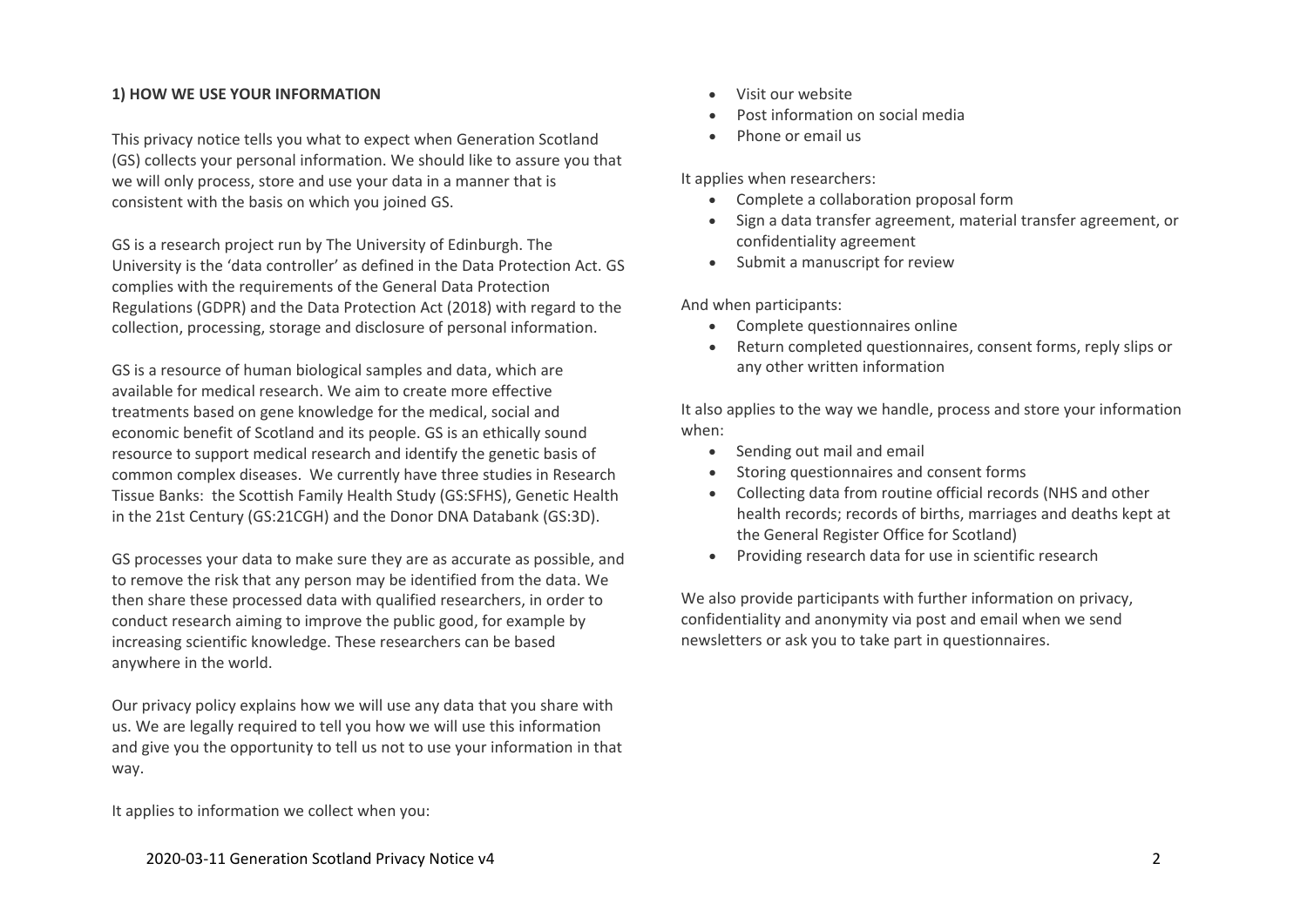## **1) HOW WE USE YOUR INFORMATION**

This privacy notice tells you what to expect when Generation Scotland (GS) collects your personal information. We should like to assure you that we will only process, store and use your data in a manner that is consistent with the basis on which you joined GS.

GS is a research project run by The University of Edinburgh. The University is the 'data controller' as defined in the Data Protection Act. GS complies with the requirements of the General Data Protection Regulations (GDPR) and the Data Protection Act (2018) with regard to the collection, processing, storage and disclosure of personal information.

GS is a resource of human biological samples and data, which are available for medical research. We aim to create more effective treatments based on gene knowledge for the medical, social and economic benefit of Scotland and its people. GS is an ethically sound resource to support medical research and identify the genetic basis of common complex diseases. We currently have three studies in Research Tissue Banks: the Scottish Family Health Study (GS:SFHS), Genetic Health in the 21st Century (GS:21CGH) and the Donor DNA Databank (GS:3D).

GS processes your data to make sure they are as accurate as possible, and to remove the risk that any person may be identified from the data. We then share these processed data with qualified researchers, in order to conduct research aiming to improve the public good, for example by increasing scientific knowledge. These researchers can be based anywhere in the world.

Our privacy policy explains how we will use any data that you share with us. We are legally required to tell you how we will use this information and give you the opportunity to tell us not to use your information in that way.

It applies to information we collect when you:

- Visit our website
- Post information on social media
- Phone or email us

It applies when researchers:

- Complete a collaboration proposal form
- Sign a data transfer agreement, material transfer agreement, or confidentiality agreement
- Submit a manuscript for review

And when participants:

- Complete questionnaires online
- Return completed questionnaires, consent forms, reply slips or any other written information

It also applies to the way we handle, process and store your information when:

- Sending out mail and email
- Storing questionnaires and consent forms
- Collecting data from routine official records (NHS and other health records; records of births, marriages and deaths kept at the General Register Office for Scotland)
- Providing research data for use in scientific research

We also provide participants with further information on privacy, confidentiality and anonymity via post and email when we send newsletters or ask you to take part in questionnaires.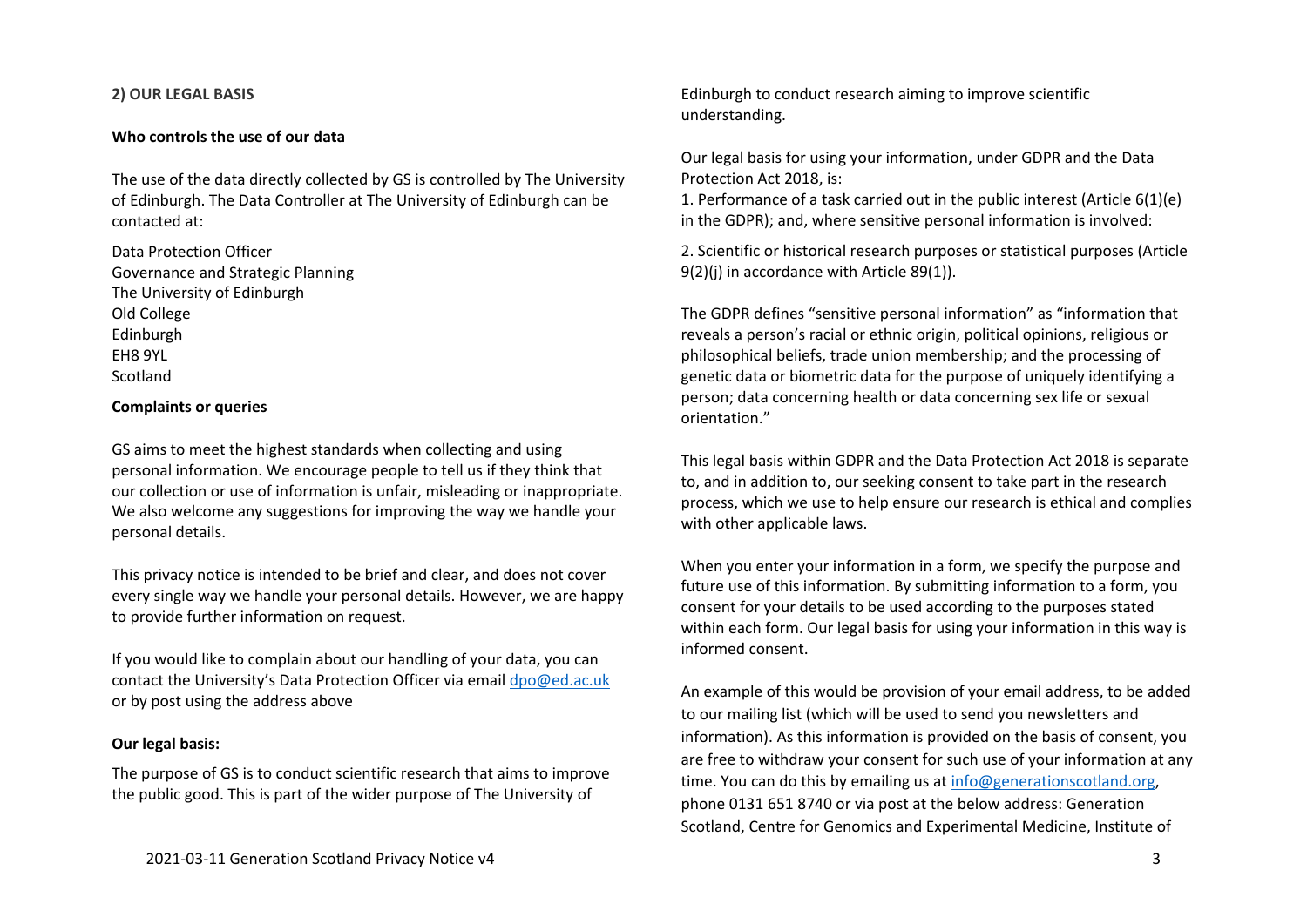## **2) OUR LEGAL BASIS**

### **Who controls the use of our data**

The use of the data directly collected by GS is controlled by The University of Edinburgh. The Data Controller at The University of Edinburgh can be contacted at:

Data Protection Officer Governance and Strategic Planning The University of Edinburgh Old College Edinburgh EH8 9YL Scotland

#### **Complaints or queries**

GS aims to meet the highest standards when collecting and using personal information. We encourage people to tell us if they think that our collection or use of information is unfair, misleading or inappropriate. We also welcome any suggestions for improving the way we handle your personal details.

This privacy notice is intended to be brief and clear, and does not cover every single way we handle your personal details. However, we are happy to provide further information on request.

If you would like to complain about our handling of your data, you can contact the University's Data Protection Officer via email [dpo@ed.ac.uk](mailto:dpo@ed.ac.uk) or by post using the address above

## **Our legal basis:**

The purpose of GS is to conduct scientific research that aims to improve the public good. This is part of the wider purpose of The University of

Edinburgh to conduct research aiming to improve scientific understanding.

Our legal basis for using your information, under GDPR and the Data Protection Act 2018, is:

1. Performance of a task carried out in the public interest (Article 6(1)(e) in the GDPR); and, where sensitive personal information is involved:

2. Scientific or historical research purposes or statistical purposes (Article 9(2)(j) in accordance with Article 89(1)).

The GDPR defines "sensitive personal information" as "information that reveals a person's racial or ethnic origin, political opinions, religious or philosophical beliefs, trade union membership; and the processing of genetic data or biometric data for the purpose of uniquely identifying a person; data concerning health or data concerning sex life or sexual orientation."

This legal basis within GDPR and the Data Protection Act 2018 is separate to, and in addition to, our seeking consent to take part in the research process, which we use to help ensure our research is ethical and complies with other applicable laws.

When you enter your information in a form, we specify the purpose and future use of this information. By submitting information to a form, you consent for your details to be used according to the purposes stated within each form. Our legal basis for using your information in this way is informed consent.

An example of this would be provision of your email address, to be added to our mailing list (which will be used to send you newsletters and information). As this information is provided on the basis of consent, you are free to withdraw your consent for such use of your information at any time. You can do this by emailing us a[t info@generationscotland.org,](mailto:info@generationscotland.org) phone 0131 651 8740 or via post at the below address: Generation Scotland, Centre for Genomics and Experimental Medicine, Institute of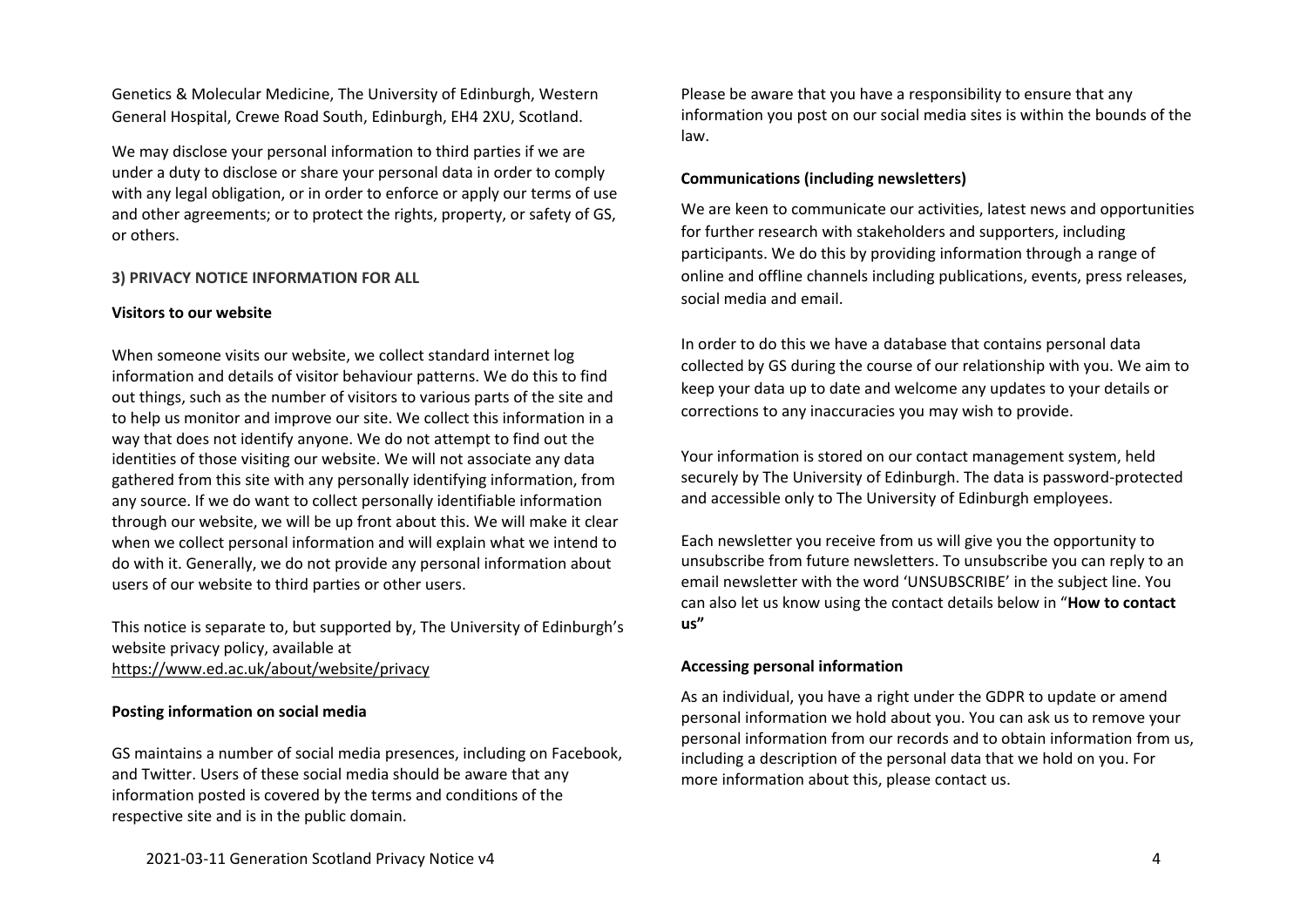Genetics & Molecular Medicine, The University of Edinburgh, Western General Hospital, Crewe Road South, Edinburgh, EH4 2XU, Scotland.

We may disclose your personal information to third parties if we are under a duty to disclose or share your personal data in order to comply with any legal obligation, or in order to enforce or apply our terms of use and other agreements; or to protect the rights, property, or safety of GS, or others.

# **3) PRIVACY NOTICE INFORMATION FOR ALL**

# **Visitors to our website**

When someone visits our website, we collect standard internet log information and details of visitor behaviour patterns. We do this to find out things, such as the number of visitors to various parts of the site and to help us monitor and improve our site. We collect this information in a way that does not identify anyone. We do not attempt to find out the identities of those visiting our website. We will not associate any data gathered from this site with any personally identifying information, from any source. If we do want to collect personally identifiable information through our website, we will be up front about this. We will make it clear when we collect personal information and will explain what we intend to do with it. Generally, we do not provide any personal information about users of our website to third parties or other users.

This notice is separate to, but supported by, The University of Edinburgh's website privacy policy, available at <https://www.ed.ac.uk/about/website/privacy>

## **Posting information on social media**

GS maintains a number of social media presences, including on Facebook, and Twitter. Users of these social media should be aware that any information posted is covered by the terms and conditions of the respective site and is in the public domain.

Please be aware that you have a responsibility to ensure that any information you post on our social media sites is within the bounds of the law.

# **Communications (including newsletters)**

We are keen to communicate our activities, latest news and opportunities for further research with stakeholders and supporters, including participants. We do this by providing information through a range of online and offline channels including publications, events, press releases, social media and email.

In order to do this we have a database that contains personal data collected by GS during the course of our relationship with you. We aim to keep your data up to date and welcome any updates to your details or corrections to any inaccuracies you may wish to provide.

Your information is stored on our contact management system, held securely by The University of Edinburgh. The data is password-protected and accessible only to The University of Edinburgh employees.

Each newsletter you receive from us will give you the opportunity to unsubscribe from future newsletters. To unsubscribe you can reply to an email newsletter with the word 'UNSUBSCRIBE' in the subject line. You can also let us know using the contact details below in "**How to contact us"**

# **Accessing personal information**

As an individual, you have a right under the GDPR to update or amend personal information we hold about you. You can ask us to remove your personal information from our records and to obtain information from us, including a description of the personal data that we hold on you. For more information about this, please contact us.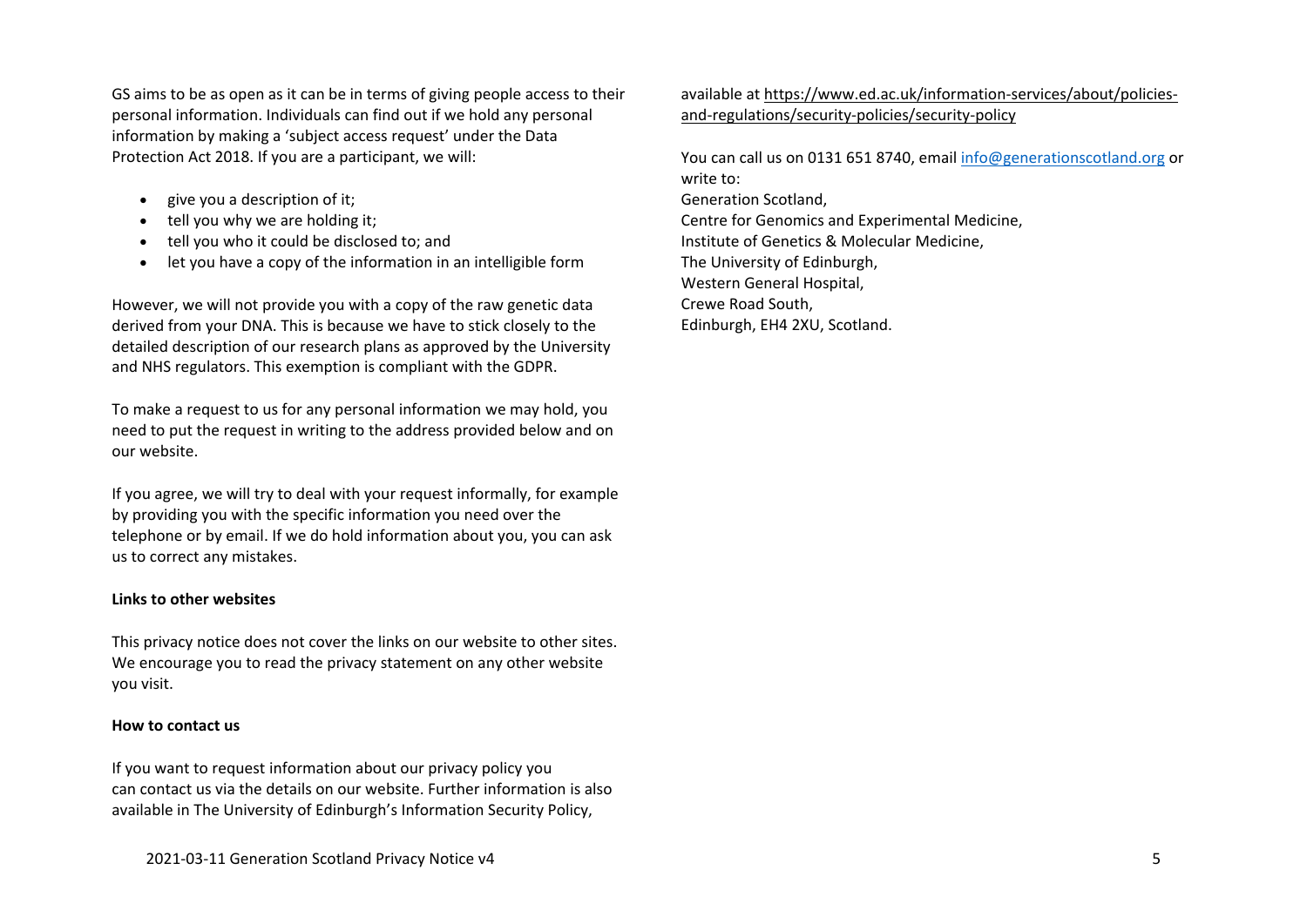GS aims to be as open as it can be in terms of giving people access to their personal information. Individuals can find out if we hold any personal information by making a 'subject access request' under the Data Protection Act 2018. If you are a participant, we will:

- give you a description of it;
- $\bullet$  tell you why we are holding it;
- tell you who it could be disclosed to; and
- let you have a copy of the information in an intelligible form

However, we will not provide you with a copy of the raw genetic data derived from your DNA. This is because we have to stick closely to the detailed description of our research plans as approved by the University and NHS regulators. This exemption is compliant with the GDPR.

To make a request to us for any personal information we may hold, you need to put the request in writing to the address provided below and on our website.

If you agree, we will try to deal with your request informally, for example by providing you with the specific information you need over the telephone or by email. If we do hold information about you, you can ask us to correct any mistakes.

# **Links to other websites**

This privacy notice does not cover the links on our website to other sites. We encourage you to read the privacy statement on any other website you visit.

# **How to contact us**

If you want to request information about our privacy policy you can contact us via the details on our website. Further information is also available in The University of Edinburgh's Information Security Policy,

available at [https://www.ed.ac.uk/information-services/about/policies](https://www.ed.ac.uk/information-services/about/policies-and-regulations/security-policies/security-policy)[and-regulations/security-policies/security-policy](https://www.ed.ac.uk/information-services/about/policies-and-regulations/security-policies/security-policy)

You can call us on 0131 651 8740, email [info@generationscotland.org](mailto:info@generationscotland.org) or write to: Generation Scotland, Centre for Genomics and Experimental Medicine, Institute of Genetics & Molecular Medicine, The University of Edinburgh, Western General Hospital, Crewe Road South, Edinburgh, EH4 2XU, Scotland.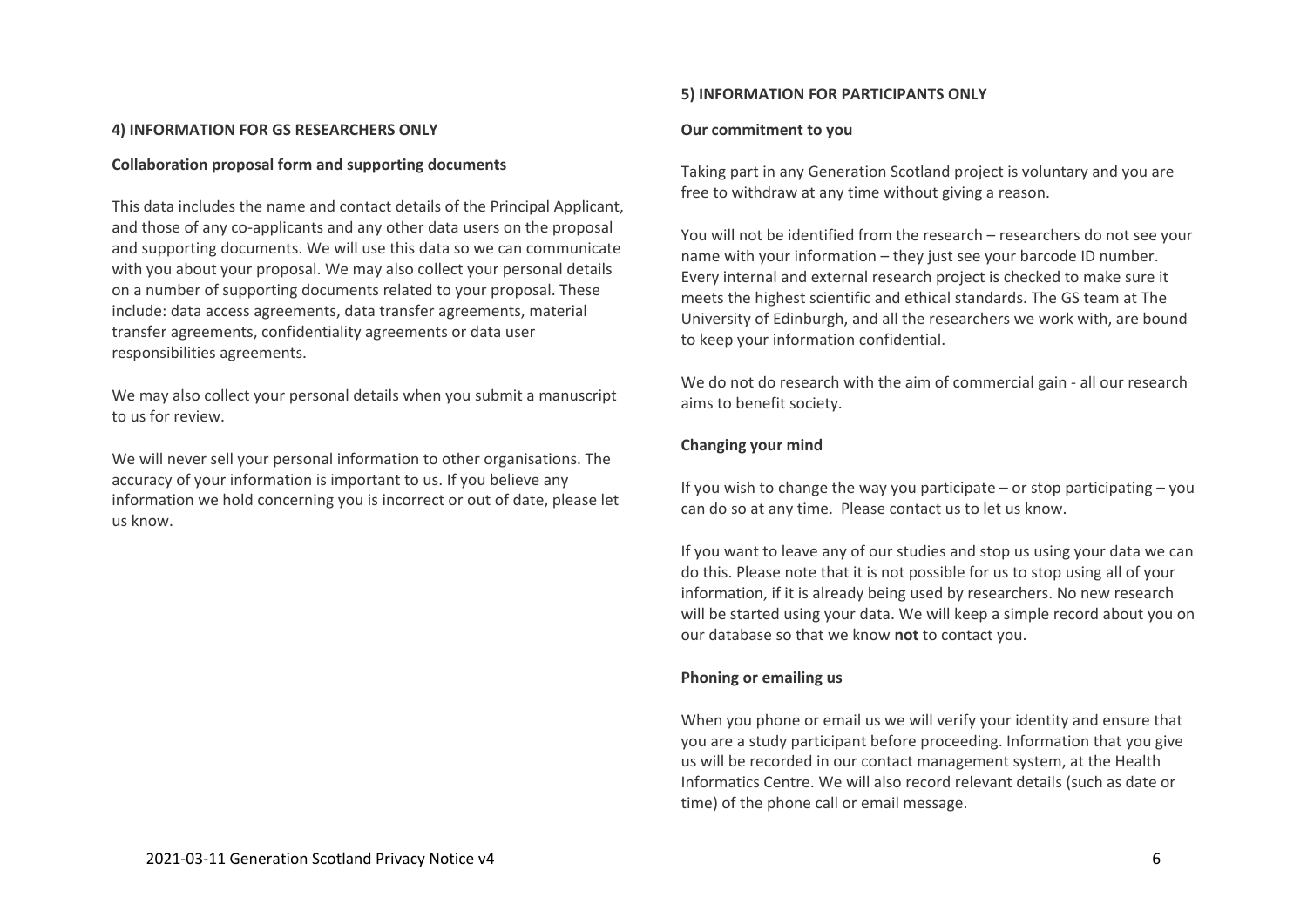## **4) INFORMATION FOR GS RESEARCHERS ONLY**

### **Collaboration proposal form and supporting documents**

This data includes the name and contact details of the Principal Applicant, and those of any co-applicants and any other data users on the proposal and supporting documents. We will use this data so we can communicate with you about your proposal. We may also collect your personal details on a number of supporting documents related to your proposal. These include: data access agreements, data transfer agreements, material transfer agreements, confidentiality agreements or data user responsibilities agreements.

We may also collect your personal details when you submit a manuscript to us for review.

We will never sell your personal information to other organisations. The accuracy of your information is important to us. If you believe any information we hold concerning you is incorrect or out of date, please let us know.

#### **5) INFORMATION FOR PARTICIPANTS ONLY**

#### **Our commitment to you**

Taking part in any Generation Scotland project is voluntary and you are free to withdraw at any time without giving a reason.

You will not be identified from the research – researchers do not see your name with your information – they just see your barcode ID number. Every internal and external research project is checked to make sure it meets the highest scientific and ethical standards. The GS team at The University of Edinburgh, and all the researchers we work with, are bound to keep your information confidential.

We do not do research with the aim of commercial gain - all our research aims to benefit society.

### **Changing your mind**

If you wish to change the way you participate – or stop participating – you can do so at any time. Please contact us to let us know.

If you want to leave any of our studies and stop us using your data we can do this. Please note that it is not possible for us to stop using all of your information, if it is already being used by researchers. No new research will be started using your data. We will keep a simple record about you on our database so that we know **not** to contact you.

#### **Phoning or emailing us**

When you phone or email us we will verify your identity and ensure that you are a study participant before proceeding. Information that you give us will be recorded in our contact management system, at the Health Informatics Centre. We will also record relevant details (such as date or time) of the phone call or email message.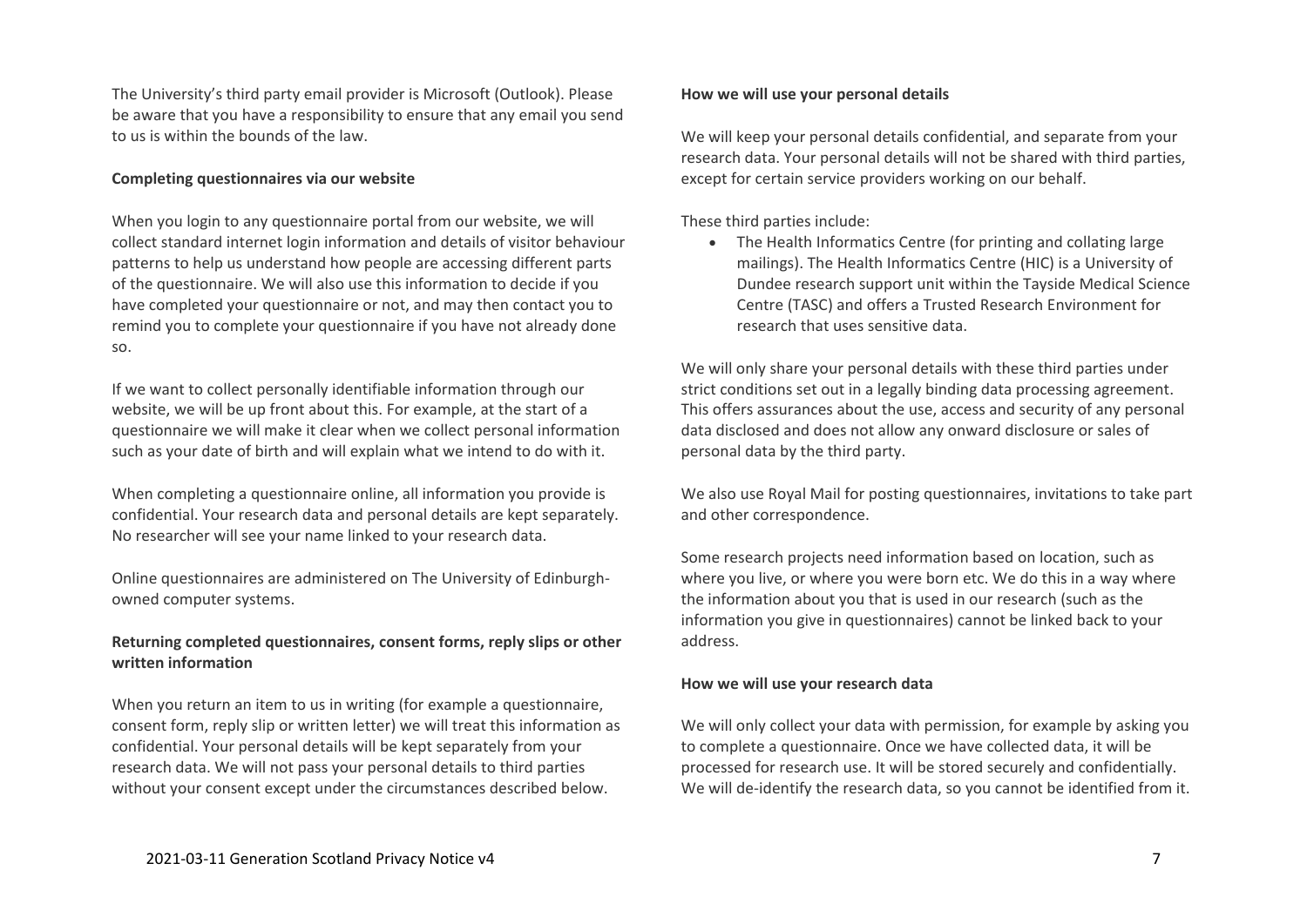The University's third party email provider is Microsoft (Outlook). Please be aware that you have a responsibility to ensure that any email you send to us is within the bounds of the law.

# **Completing questionnaires via our website**

When you login to any questionnaire portal from our website, we will collect standard internet login information and details of visitor behaviour patterns to help us understand how people are accessing different parts of the questionnaire. We will also use this information to decide if you have completed your questionnaire or not, and may then contact you to remind you to complete your questionnaire if you have not already done so.

If we want to collect personally identifiable information through our website, we will be up front about this. For example, at the start of a questionnaire we will make it clear when we collect personal information such as your date of birth and will explain what we intend to do with it.

When completing a questionnaire online, all information you provide is confidential. Your research data and personal details are kept separately. No researcher will see your name linked to your research data.

Online questionnaires are administered on The University of Edinburghowned computer systems.

# **Returning completed questionnaires, consent forms, reply slips or other written information**

When you return an item to us in writing (for example a questionnaire, consent form, reply slip or written letter) we will treat this information as confidential. Your personal details will be kept separately from your research data. We will not pass your personal details to third parties without your consent except under the circumstances described below.

# **How we will use your personal details**

We will keep your personal details confidential, and separate from your research data. Your personal details will not be shared with third parties, except for certain service providers working on our behalf.

These third parties include:

• The Health Informatics Centre (for printing and collating large mailings). The Health Informatics Centre (HIC) is a University of Dundee research support unit within the Tayside Medical Science Centre (TASC) and offers a Trusted Research Environment for research that uses sensitive data.

We will only share your personal details with these third parties under strict conditions set out in a legally binding data processing agreement. This offers assurances about the use, access and security of any personal data disclosed and does not allow any onward disclosure or sales of personal data by the third party.

We also use Royal Mail for posting questionnaires, invitations to take part and other correspondence.

Some research projects need information based on location, such as where you live, or where you were born etc. We do this in a way where the information about you that is used in our research (such as the information you give in questionnaires) cannot be linked back to your address.

# **How we will use your research data**

We will only collect your data with permission, for example by asking you to complete a questionnaire. Once we have collected data, it will be processed for research use. It will be stored securely and confidentially. We will de-identify the research data, so you cannot be identified from it.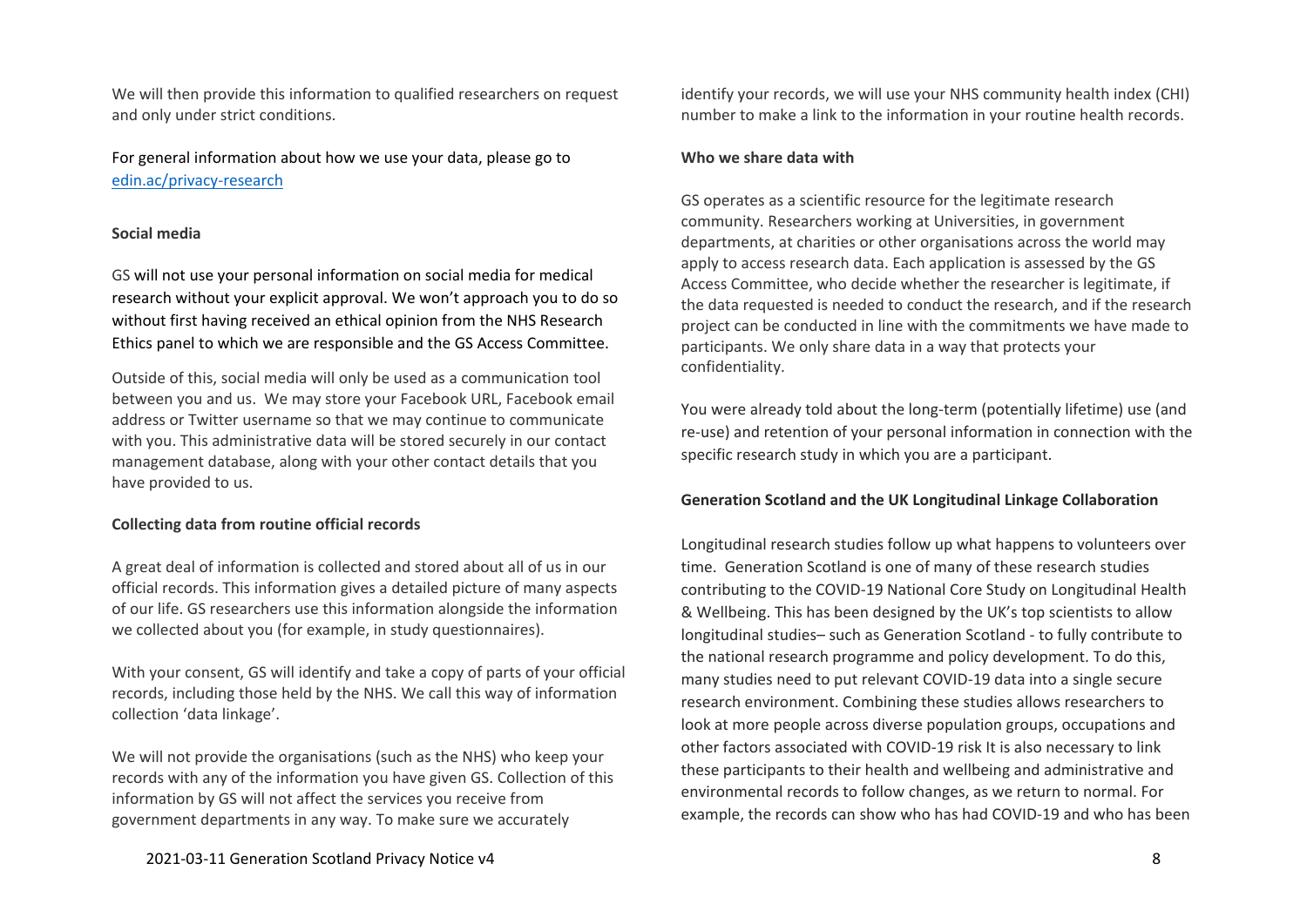We will then provide this information to qualified researchers on request and only under strict conditions.

For general information about how we use your data, please go to [edin.ac/privacy-research](https://www.ed.ac.uk/records-management/privacy-notice-research)

### **Social media**

GS will not use your personal information on social media for medical research without your explicit approval. We won't approach you to do so without first having received an ethical opinion from the NHS Research Ethics panel to which we are responsible and the GS Access Committee.

Outside of this, social media will only be used as a communication tool between you and us. We may store your Facebook URL, Facebook email address or Twitter username so that we may continue to communicate with you. This administrative data will be stored securely in our contact management database, along with your other contact details that you have provided to us.

### **Collecting data from routine official records**

A great deal of information is collected and stored about all of us in our official records. This information gives a detailed picture of many aspects of our life. GS researchers use this information alongside the information we collected about you (for example, in study questionnaires).

With your consent, GS will identify and take a copy of parts of your official records, including those held by the NHS. We call this way of information collection 'data linkage'.

We will not provide the organisations (such as the NHS) who keep your records with any of the information you have given GS. Collection of this information by GS will not affect the services you receive from government departments in any way. To make sure we accurately

identify your records, we will use your NHS community health index (CHI) number to make a link to the information in your routine health records.

#### **Who we share data with**

GS operates as a scientific resource for the legitimate research community. Researchers working at Universities, in government departments, at charities or other organisations across the world may apply to access research data. Each application is assessed by the GS Access Committee, who decide whether the researcher is legitimate, if the data requested is needed to conduct the research, and if the research project can be conducted in line with the commitments we have made to participants. We only share data in a way that protects your confidentiality.

You were already told about the long-term (potentially lifetime) use (and re-use) and retention of your personal information in connection with the specific research study in which you are a participant.

## **Generation Scotland and the UK Longitudinal Linkage Collaboration**

Longitudinal research studies follow up what happens to volunteers over time. Generation Scotland is one of many of these research studies contributing to the COVID-19 National Core Study on Longitudinal Health & Wellbeing. This has been designed by the UK's top scientists to allow longitudinal studies– such as Generation Scotland - to fully contribute to the national research programme and policy development. To do this, many studies need to put relevant COVID-19 data into a single secure research environment. Combining these studies allows researchers to look at more people across diverse population groups, occupations and other factors associated with COVID-19 risk It is also necessary to link these participants to their health and wellbeing and administrative and environmental records to follow changes, as we return to normal. For example, the records can show who has had COVID-19 and who has been